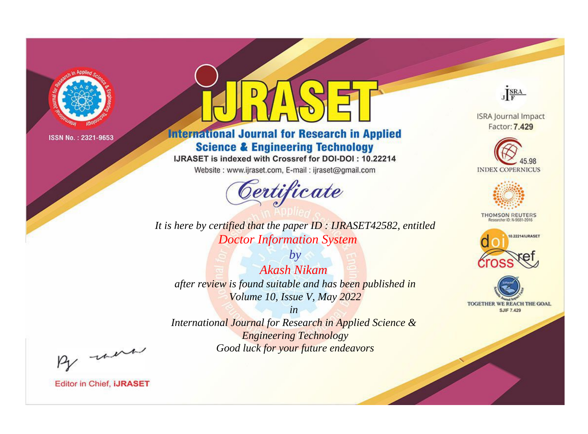

# **International Journal for Research in Applied Science & Engineering Technology**

IJRASET is indexed with Crossref for DOI-DOI: 10.22214

Website: www.ijraset.com, E-mail: ijraset@gmail.com



*It is here by certified that the paper ID : IJRASET42582, entitled Doctor Information System*

*by Akash Nikam after review is found suitable and has been published in Volume 10, Issue V, May 2022*

*in International Journal for Research in Applied Science & Engineering Technology Good luck for your future endeavors*



**ISRA Journal Impact** Factor: 7.429





**THOMSON REUTERS** 





By morn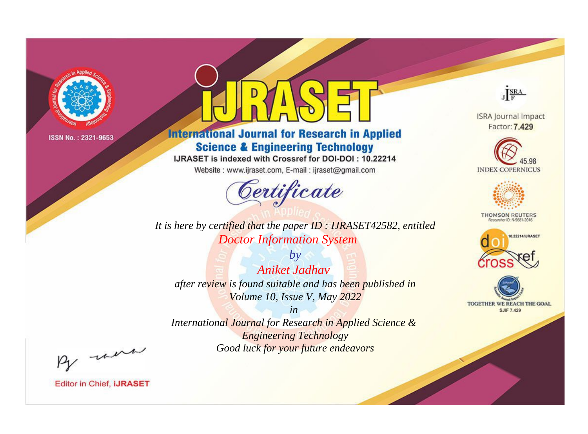

# **International Journal for Research in Applied Science & Engineering Technology**

IJRASET is indexed with Crossref for DOI-DOI: 10.22214

Website: www.ijraset.com, E-mail: ijraset@gmail.com



*It is here by certified that the paper ID : IJRASET42582, entitled Doctor Information System*

*by Aniket Jadhav after review is found suitable and has been published in Volume 10, Issue V, May 2022*

*in International Journal for Research in Applied Science & Engineering Technology Good luck for your future endeavors*



**ISRA Journal Impact** Factor: 7.429





**THOMSON REUTERS** 





By morn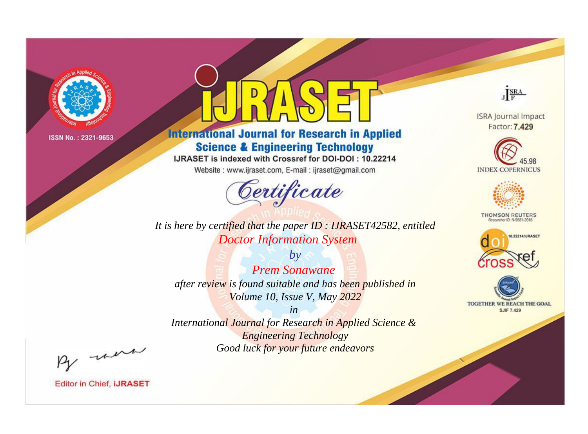

# **International Journal for Research in Applied Science & Engineering Technology**

IJRASET is indexed with Crossref for DOI-DOI: 10.22214

Website: www.ijraset.com, E-mail: ijraset@gmail.com



**ISRA Journal Impact** Factor: 7.429

JERA





**THOMSON REUTERS** 



TOGETHER WE REACH THE GOAL **SJIF 7.429** 

*It is here by certified that the paper ID : IJRASET42582, entitled Doctor Information System*

*by Prem Sonawane after review is found suitable and has been published in Volume 10, Issue V, May 2022*

*in* 

*International Journal for Research in Applied Science & Engineering Technology Good luck for your future endeavors*

By morn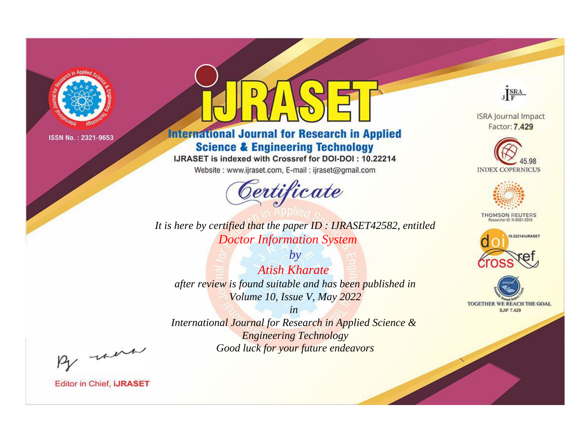

# **International Journal for Research in Applied Science & Engineering Technology**

IJRASET is indexed with Crossref for DOI-DOI: 10.22214

Website: www.ijraset.com, E-mail: ijraset@gmail.com



*It is here by certified that the paper ID : IJRASET42582, entitled Doctor Information System*

*by Atish Kharate after review is found suitable and has been published in Volume 10, Issue V, May 2022*

*in International Journal for Research in Applied Science & Engineering Technology Good luck for your future endeavors*



**ISRA Journal Impact** Factor: 7.429





**THOMSON REUTERS** 





By morn